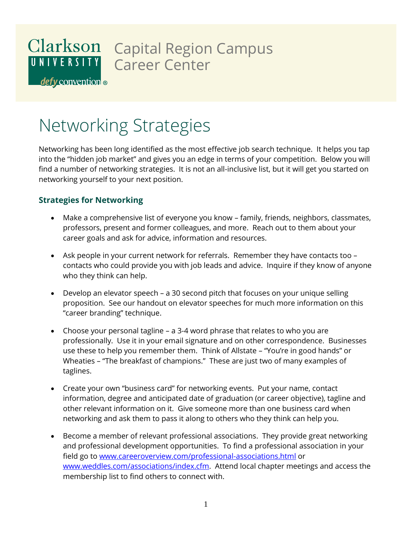## Clarkson Capital Region Campus UNIVERSITY Career Center

defy convention

## Networking Strategies

Networking has been long identified as the most effective job search technique. It helps you tap into the "hidden job market" and gives you an edge in terms of your competition. Below you will find a number of networking strategies. It is not an all-inclusive list, but it will get you started on networking yourself to your next position.

## **Strategies for Networking**

- Make a comprehensive list of everyone you know family, friends, neighbors, classmates, professors, present and former colleagues, and more. Reach out to them about your career goals and ask for advice, information and resources.
- Ask people in your current network for referrals. Remember they have contacts too contacts who could provide you with job leads and advice. Inquire if they know of anyone who they think can help.
- Develop an elevator speech a 30 second pitch that focuses on your unique selling proposition. See our handout on elevator speeches for much more information on this "career branding" technique.
- Choose your personal tagline a 3-4 word phrase that relates to who you are professionally. Use it in your email signature and on other correspondence. Businesses use these to help you remember them. Think of Allstate – "You're in good hands" or Wheaties – "The breakfast of champions." These are just two of many examples of taglines.
- Create your own "business card" for networking events. Put your name, contact information, degree and anticipated date of graduation (or career objective), tagline and other relevant information on it. Give someone more than one business card when networking and ask them to pass it along to others who they think can help you.
- Become a member of relevant professional associations. They provide great networking and professional development opportunities. To find a professional association in your field go to [www.careeroverview.com/professional-associations.html](http://www.careeroverview.com/professional-associations.html) or [www.weddles.com/associations/index.cfm.](http://www.weddles.com/associations/index.cfm) Attend local chapter meetings and access the membership list to find others to connect with.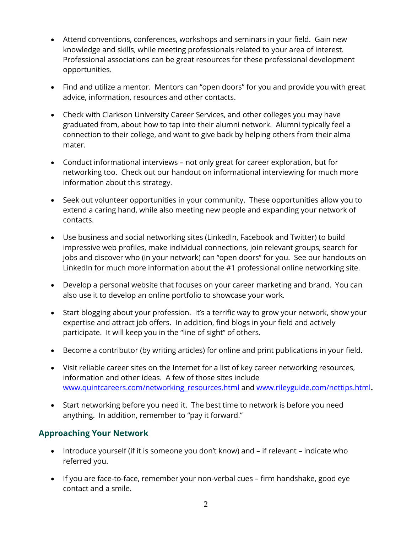- Attend conventions, conferences, workshops and seminars in your field. Gain new knowledge and skills, while meeting professionals related to your area of interest. Professional associations can be great resources for these professional development opportunities.
- Find and utilize a mentor. Mentors can "open doors" for you and provide you with great advice, information, resources and other contacts.
- Check with Clarkson University Career Services, and other colleges you may have graduated from, about how to tap into their alumni network. Alumni typically feel a connection to their college, and want to give back by helping others from their alma mater.
- Conduct informational interviews not only great for career exploration, but for networking too. Check out our handout on informational interviewing for much more information about this strategy.
- Seek out volunteer opportunities in your community. These opportunities allow you to extend a caring hand, while also meeting new people and expanding your network of contacts.
- Use business and social networking sites (LinkedIn, Facebook and Twitter) to build impressive web profiles, make individual connections, join relevant groups, search for jobs and discover who (in your network) can "open doors" for you. See our handouts on LinkedIn for much more information about the #1 professional online networking site.
- Develop a personal website that focuses on your career marketing and brand. You can also use it to develop an online portfolio to showcase your work.
- Start blogging about your profession. It's a terrific way to grow your network, show your expertise and attract job offers. In addition, find blogs in your field and actively participate. It will keep you in the "line of sight" of others.
- Become a contributor (by writing articles) for online and print publications in your field.
- Visit reliable career sites on the Internet for a list of key career networking resources, information and other ideas. A few of those sites include [www.quintcareers.com/networking\\_resources.html](http://www.quintcareers.com/networking_resources.html) and [www.rileyguide.com/nettips.html](http://www.rileyguide.com/nettips.html).
- Start networking before you need it. The best time to network is before you need anything. In addition, remember to "pay it forward."

## **Approaching Your Network**

- Introduce yourself (if it is someone you don't know) and if relevant indicate who referred you.
- If you are face-to-face, remember your non-verbal cues firm handshake, good eye contact and a smile.